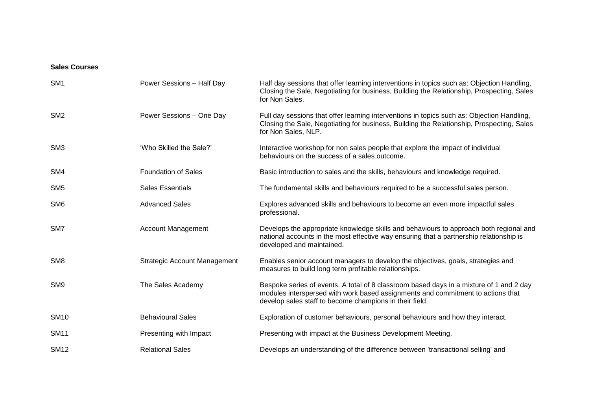## **Sales Courses**

| SM <sub>1</sub> | Power Sessions - Half Day           | Half day sessions that offer learning interventions in topics such as: Objection Handling,<br>Closing the Sale, Negotiating for business, Building the Relationship, Prospecting, Sales<br>for Non Sales.                             |
|-----------------|-------------------------------------|---------------------------------------------------------------------------------------------------------------------------------------------------------------------------------------------------------------------------------------|
| SM <sub>2</sub> | Power Sessions - One Day            | Full day sessions that offer learning interventions in topics such as: Objection Handling,<br>Closing the Sale, Negotiating for business, Building the Relationship, Prospecting, Sales<br>for Non Sales, NLP.                        |
| SM <sub>3</sub> | 'Who Skilled the Sale?'             | Interactive workshop for non sales people that explore the impact of individual<br>behaviours on the success of a sales outcome.                                                                                                      |
| SM4             | <b>Foundation of Sales</b>          | Basic introduction to sales and the skills, behaviours and knowledge required.                                                                                                                                                        |
| SM <sub>5</sub> | <b>Sales Essentials</b>             | The fundamental skills and behaviours required to be a successful sales person.                                                                                                                                                       |
| SM <sub>6</sub> | <b>Advanced Sales</b>               | Explores advanced skills and behaviours to become an even more impactful sales<br>professional.                                                                                                                                       |
| SM <sub>7</sub> | <b>Account Management</b>           | Develops the appropriate knowledge skills and behaviours to approach both regional and<br>national accounts in the most effective way ensuring that a partnership relationship is<br>developed and maintained.                        |
| SM <sub>8</sub> | <b>Strategic Account Management</b> | Enables senior account managers to develop the objectives, goals, strategies and<br>measures to build long term profitable relationships.                                                                                             |
| SM <sub>9</sub> | The Sales Academy                   | Bespoke series of events. A total of 8 classroom based days in a mixture of 1 and 2 day<br>modules interspersed with work based assignments and commitment to actions that<br>develop sales staff to become champions in their field. |
| <b>SM10</b>     | <b>Behavioural Sales</b>            | Exploration of customer behaviours, personal behaviours and how they interact.                                                                                                                                                        |
| <b>SM11</b>     | Presenting with Impact              | Presenting with impact at the Business Development Meeting.                                                                                                                                                                           |
| <b>SM12</b>     | <b>Relational Sales</b>             | Develops an understanding of the difference between 'transactional selling' and                                                                                                                                                       |